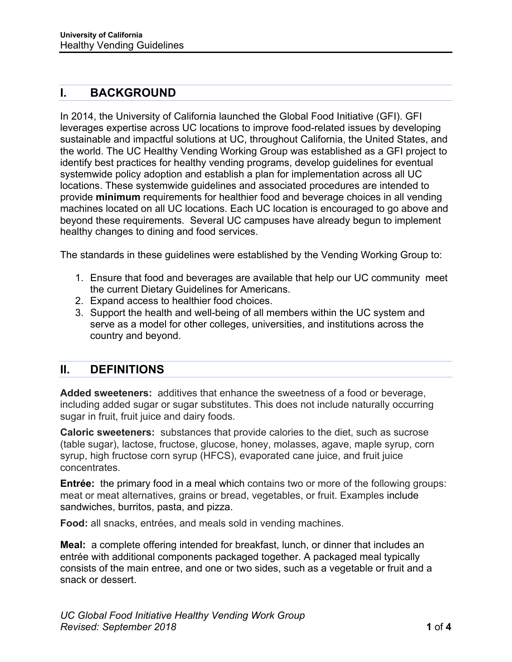# **I. BACKGROUND**

In 2014, the University of California launched the Global Food Initiative (GFI). GFI leverages expertise across UC locations to improve food-related issues by developing sustainable and impactful solutions at UC, throughout California, the United States, and the world. The UC Healthy Vending Working Group was established as a GFI project to identify best practices for healthy vending programs, develop guidelines for eventual systemwide policy adoption and establish a plan for implementation across all UC locations. These systemwide guidelines and associated procedures are intended to provide **minimum** requirements for healthier food and beverage choices in all vending machines located on all UC locations. Each UC location is encouraged to go above and beyond these requirements. Several UC campuses have already begun to implement healthy changes to dining and food services.

The standards in these guidelines were established by the Vending Working Group to:

- 1. Ensure that food and beverages are available that help our UC community meet the current Dietary Guidelines for Americans.
- 2. Expand access to healthier food choices.
- 3. Support the health and well-being of all members within the UC system and serve as a model for other colleges, universities, and institutions across the country and beyond.

### **II. DEFINITIONS**

**Added sweeteners:** additives that enhance the sweetness of a food or beverage, including added sugar or sugar substitutes. This does not include naturally occurring sugar in fruit, fruit juice and dairy foods.

**Caloric sweeteners:** substances that provide calories to the diet, such as sucrose (table sugar), lactose, fructose, glucose, honey, molasses, agave, maple syrup, corn syrup, high fructose corn syrup (HFCS), evaporated cane juice, and fruit juice concentrates.

**Entrée:** the primary food in a meal which contains two or more of the following groups: meat or meat alternatives, grains or bread, vegetables, or fruit. Examples include sandwiches, burritos, pasta, and pizza.

**Food:** all snacks, entrées, and meals sold in vending machines.

**Meal:** a complete offering intended for breakfast, lunch, or dinner that includes an entrée with additional components packaged together. A packaged meal typically consists of the main entree, and one or two sides, such as a vegetable or fruit and a snack or dessert.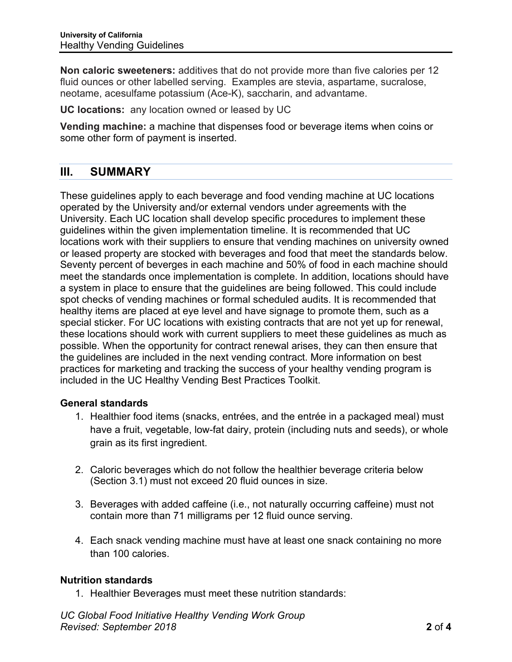**Non caloric sweeteners:** additives that do not provide more than five calories per 12 fluid ounces or other labelled serving. Examples are stevia, aspartame, sucralose, neotame, acesulfame potassium (Ace-K), saccharin, and advantame.

**UC locations:** any location owned or leased by UC

**Vending machine:** a machine that dispenses food or beverage items when coins or some other form of payment is inserted.

## **III. SUMMARY**

These guidelines apply to each beverage and food vending machine at UC locations operated by the University and/or external vendors under agreements with the University. Each UC location shall develop specific procedures to implement these guidelines within the given implementation timeline. It is recommended that UC locations work with their suppliers to ensure that vending machines on university owned or leased property are stocked with beverages and food that meet the standards below. Seventy percent of beverges in each machine and 50% of food in each machine should meet the standards once implementation is complete. In addition, locations should have a system in place to ensure that the guidelines are being followed. This could include spot checks of vending machines or formal scheduled audits. It is recommended that healthy items are placed at eye level and have signage to promote them, such as a special sticker. For UC locations with existing contracts that are not yet up for renewal, these locations should work with current suppliers to meet these guidelines as much as possible. When the opportunity for contract renewal arises, they can then ensure that the guidelines are included in the next vending contract. More information on best practices for marketing and tracking the success of your healthy vending program is included in the UC Healthy Vending Best Practices Toolkit.

### **General standards**

- 1. Healthier food items (snacks, entrées, and the entrée in a packaged meal) must have a fruit, vegetable, low-fat dairy, protein (including nuts and seeds), or whole grain as its first ingredient.
- 2. Caloric beverages which do not follow the healthier beverage criteria below (Section 3.1) must not exceed 20 fluid ounces in size.
- 3. Beverages with added caffeine (i.e., not naturally occurring caffeine) must not contain more than 71 milligrams per 12 fluid ounce serving.
- 4. Each snack vending machine must have at least one snack containing no more than 100 calories.

### **Nutrition standards**

1. Healthier Beverages must meet these nutrition standards: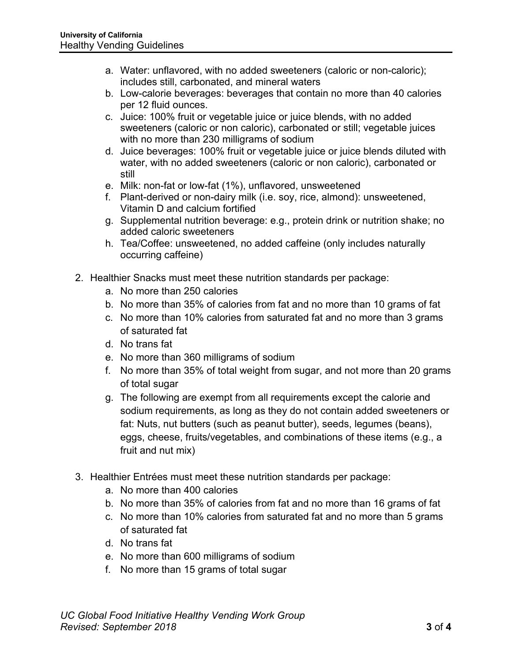- a. Water: unflavored, with no added sweeteners (caloric or non-caloric); includes still, carbonated, and mineral waters
- b. Low-calorie beverages: beverages that contain no more than 40 calories per 12 fluid ounces.
- c. Juice: 100% fruit or vegetable juice or juice blends, with no added sweeteners (caloric or non caloric), carbonated or still; vegetable juices with no more than 230 milligrams of sodium
- d. Juice beverages: 100% fruit or vegetable juice or juice blends diluted with water, with no added sweeteners (caloric or non caloric), carbonated or still
- e. Milk: non-fat or low-fat (1%), unflavored, unsweetened
- f. Plant-derived or non-dairy milk (i.e. soy, rice, almond): unsweetened, Vitamin D and calcium fortified
- g. Supplemental nutrition beverage: e.g., protein drink or nutrition shake; no added caloric sweeteners
- h. Tea/Coffee: unsweetened, no added caffeine (only includes naturally occurring caffeine)
- 2. Healthier Snacks must meet these nutrition standards per package:
	- a. No more than 250 calories
	- b. No more than 35% of calories from fat and no more than 10 grams of fat
	- c. No more than 10% calories from saturated fat and no more than 3 grams of saturated fat
	- d. No trans fat
	- e. No more than 360 milligrams of sodium
	- f. No more than 35% of total weight from sugar, and not more than 20 grams of total sugar
	- g. The following are exempt from all requirements except the calorie and sodium requirements, as long as they do not contain added sweeteners or fat: Nuts, nut butters (such as peanut butter), seeds, legumes (beans), eggs, cheese, fruits/vegetables, and combinations of these items (e.g., a fruit and nut mix)
- 3. Healthier Entrées must meet these nutrition standards per package:
	- a. No more than 400 calories
	- b. No more than 35% of calories from fat and no more than 16 grams of fat
	- c. No more than 10% calories from saturated fat and no more than 5 grams of saturated fat
	- d. No trans fat
	- e. No more than 600 milligrams of sodium
	- f. No more than 15 grams of total sugar